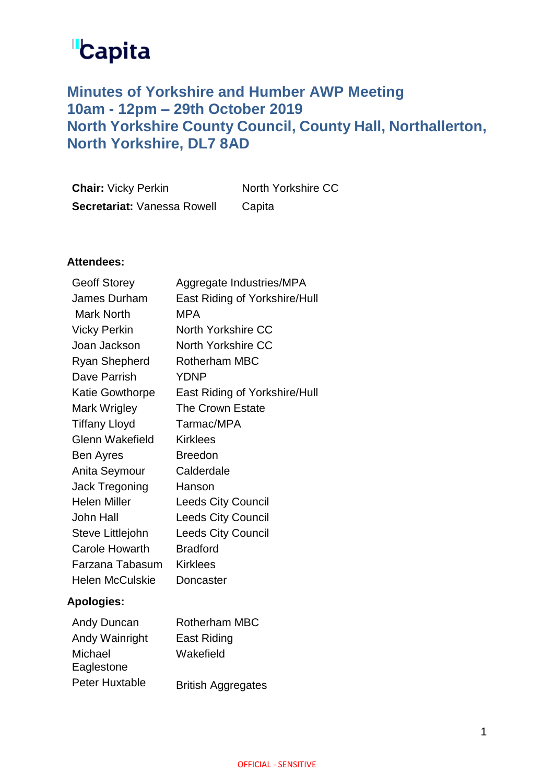# **Capita**

# **Minutes of Yorkshire and Humber AWP Meeting 10am - 12pm – 29th October 2019 North Yorkshire County Council, County Hall, Northallerton, North Yorkshire, DL7 8AD**

| <b>Chair: Vicky Perkin</b>  | North Yorkshire CC |
|-----------------------------|--------------------|
| Secretariat: Vanessa Rowell | Capita             |

# **Attendees:**

| <b>Geoff Storey</b>    | Aggregate Industries/MPA      |
|------------------------|-------------------------------|
| James Durham           | East Riding of Yorkshire/Hull |
| <b>Mark North</b>      | MPA                           |
| <b>Vicky Perkin</b>    | <b>North Yorkshire CC</b>     |
| Joan Jackson           | North Yorkshire CC            |
| Ryan Shepherd          | <b>Rotherham MBC</b>          |
| Dave Parrish           | YDNP                          |
| Katie Gowthorpe        | East Riding of Yorkshire/Hull |
| Mark Wrigley           | <b>The Crown Estate</b>       |
| <b>Tiffany Lloyd</b>   | Tarmac/MPA                    |
| <b>Glenn Wakefield</b> | <b>Kirklees</b>               |
| Ben Ayres              | <b>Breedon</b>                |
| Anita Seymour          | Calderdale                    |
| Jack Tregoning         | Hanson                        |
| <b>Helen Miller</b>    | <b>Leeds City Council</b>     |
| <b>John Hall</b>       | <b>Leeds City Council</b>     |
| Steve Littlejohn       | <b>Leeds City Council</b>     |
| <b>Carole Howarth</b>  | <b>Bradford</b>               |
| Farzana Tabasum        | <b>Kirklees</b>               |
| <b>Helen McCulskie</b> | Doncaster                     |
| 0. <del>.</del>        |                               |

# **Apologies:**

| Andy Duncan           | <b>Rotherham MBC</b>      |
|-----------------------|---------------------------|
| Andy Wainright        | <b>East Riding</b>        |
| Michael<br>Eaglestone | Wakefield                 |
| <b>Peter Huxtable</b> | <b>British Aggregates</b> |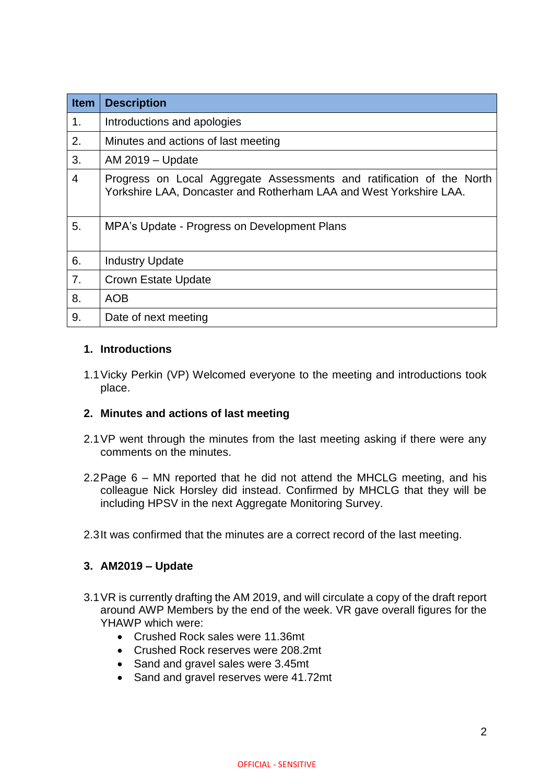| <b>Item</b> | <b>Description</b>                                                                                                                          |
|-------------|---------------------------------------------------------------------------------------------------------------------------------------------|
| 1.          | Introductions and apologies                                                                                                                 |
| 2.          | Minutes and actions of last meeting                                                                                                         |
| 3.          | AM 2019 - Update                                                                                                                            |
| 4           | Progress on Local Aggregate Assessments and ratification of the North<br>Yorkshire LAA, Doncaster and Rotherham LAA and West Yorkshire LAA. |
| 5.          | MPA's Update - Progress on Development Plans                                                                                                |
| 6.          | <b>Industry Update</b>                                                                                                                      |
| 7.          | Crown Estate Update                                                                                                                         |
| 8.          | <b>AOB</b>                                                                                                                                  |
| 9.          | Date of next meeting                                                                                                                        |

# **1. Introductions**

1.1Vicky Perkin (VP) Welcomed everyone to the meeting and introductions took place.

# **2. Minutes and actions of last meeting**

- 2.1VP went through the minutes from the last meeting asking if there were any comments on the minutes.
- 2.2Page 6 MN reported that he did not attend the MHCLG meeting, and his colleague Nick Horsley did instead. Confirmed by MHCLG that they will be including HPSV in the next Aggregate Monitoring Survey.
- 2.3It was confirmed that the minutes are a correct record of the last meeting.

# **3. AM2019 – Update**

- 3.1VR is currently drafting the AM 2019, and will circulate a copy of the draft report around AWP Members by the end of the week. VR gave overall figures for the YHAWP which were:
	- Crushed Rock sales were 11.36mt
	- Crushed Rock reserves were 208.2mt
	- Sand and gravel sales were 3.45mt
	- Sand and gravel reserves were 41.72mt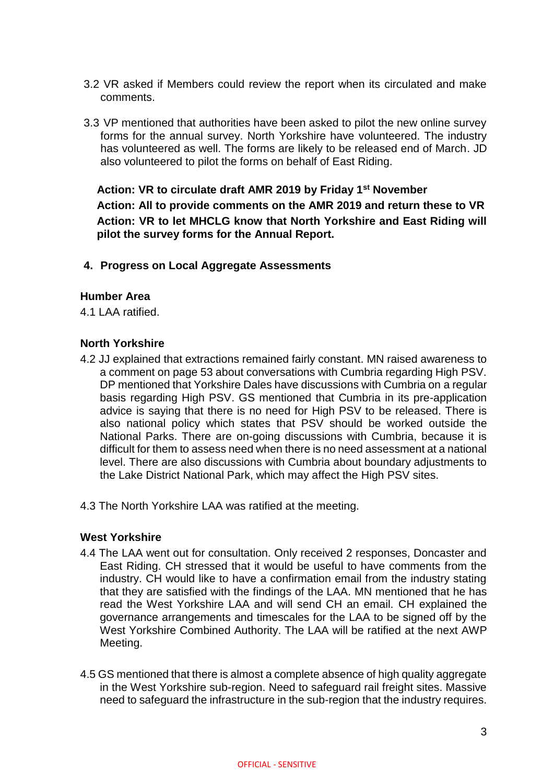- 3.2 VR asked if Members could review the report when its circulated and make comments.
- 3.3 VP mentioned that authorities have been asked to pilot the new online survey forms for the annual survey. North Yorkshire have volunteered. The industry has volunteered as well. The forms are likely to be released end of March. JD also volunteered to pilot the forms on behalf of East Riding.

**Action: VR to circulate draft AMR 2019 by Friday 1st November Action: All to provide comments on the AMR 2019 and return these to VR Action: VR to let MHCLG know that North Yorkshire and East Riding will pilot the survey forms for the Annual Report.**

**4. Progress on Local Aggregate Assessments** 

#### **Humber Area**

4.1 LAA ratified.

#### **North Yorkshire**

- 4.2 JJ explained that extractions remained fairly constant. MN raised awareness to a comment on page 53 about conversations with Cumbria regarding High PSV. DP mentioned that Yorkshire Dales have discussions with Cumbria on a regular basis regarding High PSV. GS mentioned that Cumbria in its pre-application advice is saying that there is no need for High PSV to be released. There is also national policy which states that PSV should be worked outside the National Parks. There are on-going discussions with Cumbria, because it is difficult for them to assess need when there is no need assessment at a national level. There are also discussions with Cumbria about boundary adjustments to the Lake District National Park, which may affect the High PSV sites.
- 4.3 The North Yorkshire LAA was ratified at the meeting.

# **West Yorkshire**

- 4.4 The LAA went out for consultation. Only received 2 responses, Doncaster and East Riding. CH stressed that it would be useful to have comments from the industry. CH would like to have a confirmation email from the industry stating that they are satisfied with the findings of the LAA. MN mentioned that he has read the West Yorkshire LAA and will send CH an email. CH explained the governance arrangements and timescales for the LAA to be signed off by the West Yorkshire Combined Authority. The LAA will be ratified at the next AWP Meeting.
- 4.5 GS mentioned that there is almost a complete absence of high quality aggregate in the West Yorkshire sub-region. Need to safeguard rail freight sites. Massive need to safeguard the infrastructure in the sub-region that the industry requires.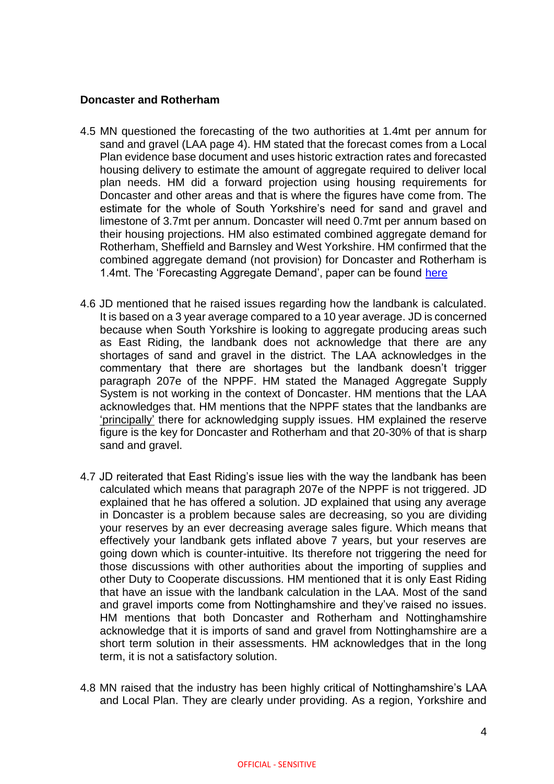### **Doncaster and Rotherham**

- 4.5 MN questioned the forecasting of the two authorities at 1.4mt per annum for sand and gravel (LAA page 4). HM stated that the forecast comes from a Local Plan evidence base document and uses historic extraction rates and forecasted housing delivery to estimate the amount of aggregate required to deliver local plan needs. HM did a forward projection using housing requirements for Doncaster and other areas and that is where the figures have come from. The estimate for the whole of South Yorkshire's need for sand and gravel and limestone of 3.7mt per annum. Doncaster will need 0.7mt per annum based on their housing projections. HM also estimated combined aggregate demand for Rotherham, Sheffield and Barnsley and West Yorkshire. HM confirmed that the combined aggregate demand (not provision) for Doncaster and Rotherham is 1.4mt. The 'Forecasting Aggregate Demand', paper can be found [here](https://dmbcwebstolive01.blob.core.windows.net/media/Default/Planning/Documents/Local%20Plan/Minerals/Forecasting%20the%20Demand%20for%20Aggregates%20_2019.pdf)
- 4.6 JD mentioned that he raised issues regarding how the landbank is calculated. It is based on a 3 year average compared to a 10 year average. JD is concerned because when South Yorkshire is looking to aggregate producing areas such as East Riding, the landbank does not acknowledge that there are any shortages of sand and gravel in the district. The LAA acknowledges in the commentary that there are shortages but the landbank doesn't trigger paragraph 207e of the NPPF. HM stated the Managed Aggregate Supply System is not working in the context of Doncaster. HM mentions that the LAA acknowledges that. HM mentions that the NPPF states that the landbanks are 'principally' there for acknowledging supply issues. HM explained the reserve figure is the key for Doncaster and Rotherham and that 20-30% of that is sharp sand and gravel.
- 4.7 JD reiterated that East Riding's issue lies with the way the landbank has been calculated which means that paragraph 207e of the NPPF is not triggered. JD explained that he has offered a solution. JD explained that using any average in Doncaster is a problem because sales are decreasing, so you are dividing your reserves by an ever decreasing average sales figure. Which means that effectively your landbank gets inflated above 7 years, but your reserves are going down which is counter-intuitive. Its therefore not triggering the need for those discussions with other authorities about the importing of supplies and other Duty to Cooperate discussions. HM mentioned that it is only East Riding that have an issue with the landbank calculation in the LAA. Most of the sand and gravel imports come from Nottinghamshire and they've raised no issues. HM mentions that both Doncaster and Rotherham and Nottinghamshire acknowledge that it is imports of sand and gravel from Nottinghamshire are a short term solution in their assessments. HM acknowledges that in the long term, it is not a satisfactory solution.
- 4.8 MN raised that the industry has been highly critical of Nottinghamshire's LAA and Local Plan. They are clearly under providing. As a region, Yorkshire and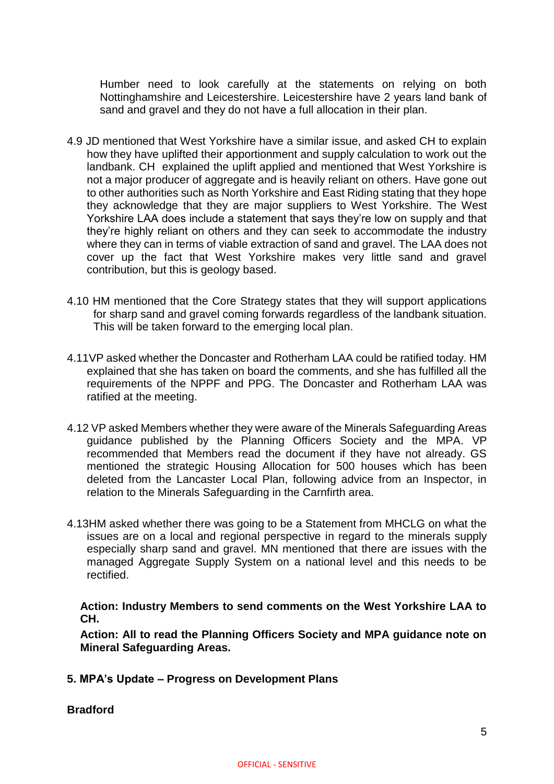Humber need to look carefully at the statements on relying on both Nottinghamshire and Leicestershire. Leicestershire have 2 years land bank of sand and gravel and they do not have a full allocation in their plan.

- 4.9 JD mentioned that West Yorkshire have a similar issue, and asked CH to explain how they have uplifted their apportionment and supply calculation to work out the landbank. CH explained the uplift applied and mentioned that West Yorkshire is not a major producer of aggregate and is heavily reliant on others. Have gone out to other authorities such as North Yorkshire and East Riding stating that they hope they acknowledge that they are major suppliers to West Yorkshire. The West Yorkshire LAA does include a statement that says they're low on supply and that they're highly reliant on others and they can seek to accommodate the industry where they can in terms of viable extraction of sand and gravel. The LAA does not cover up the fact that West Yorkshire makes very little sand and gravel contribution, but this is geology based.
- 4.10 HM mentioned that the Core Strategy states that they will support applications for sharp sand and gravel coming forwards regardless of the landbank situation. This will be taken forward to the emerging local plan.
- 4.11VP asked whether the Doncaster and Rotherham LAA could be ratified today. HM explained that she has taken on board the comments, and she has fulfilled all the requirements of the NPPF and PPG. The Doncaster and Rotherham LAA was ratified at the meeting.
- 4.12 VP asked Members whether they were aware of the Minerals Safeguarding Areas guidance published by the Planning Officers Society and the MPA. VP recommended that Members read the document if they have not already. GS mentioned the strategic Housing Allocation for 500 houses which has been deleted from the Lancaster Local Plan, following advice from an Inspector, in relation to the Minerals Safeguarding in the Carnfirth area.
- 4.13HM asked whether there was going to be a Statement from MHCLG on what the issues are on a local and regional perspective in regard to the minerals supply especially sharp sand and gravel. MN mentioned that there are issues with the managed Aggregate Supply System on a national level and this needs to be rectified.

**Action: Industry Members to send comments on the West Yorkshire LAA to CH.**

**Action: All to read the Planning Officers Society and MPA guidance note on Mineral Safeguarding Areas.**

**5. MPA's Update – Progress on Development Plans**

**Bradford**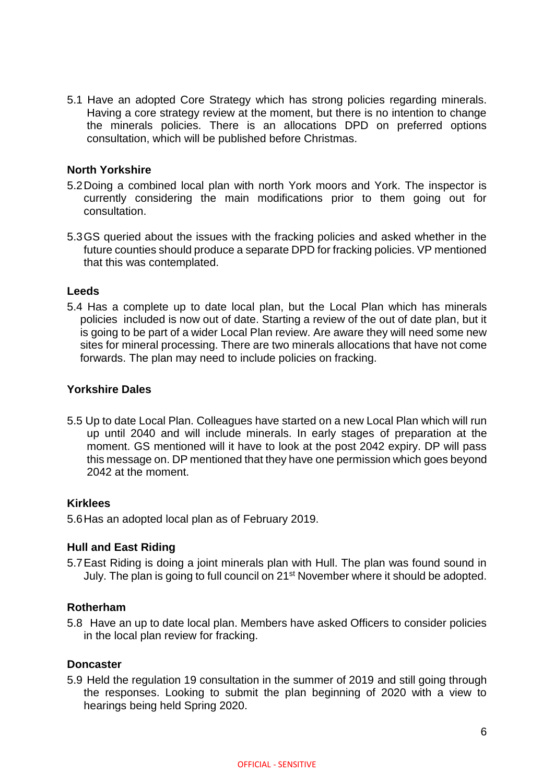5.1 Have an adopted Core Strategy which has strong policies regarding minerals. Having a core strategy review at the moment, but there is no intention to change the minerals policies. There is an allocations DPD on preferred options consultation, which will be published before Christmas.

### **North Yorkshire**

- 5.2Doing a combined local plan with north York moors and York. The inspector is currently considering the main modifications prior to them going out for consultation.
- 5.3GS queried about the issues with the fracking policies and asked whether in the future counties should produce a separate DPD for fracking policies. VP mentioned that this was contemplated.

#### **Leeds**

5.4 Has a complete up to date local plan, but the Local Plan which has minerals policies included is now out of date. Starting a review of the out of date plan, but it is going to be part of a wider Local Plan review. Are aware they will need some new sites for mineral processing. There are two minerals allocations that have not come forwards. The plan may need to include policies on fracking.

#### **Yorkshire Dales**

5.5 Up to date Local Plan. Colleagues have started on a new Local Plan which will run up until 2040 and will include minerals. In early stages of preparation at the moment. GS mentioned will it have to look at the post 2042 expiry. DP will pass this message on. DP mentioned that they have one permission which goes beyond 2042 at the moment.

#### **Kirklees**

5.6Has an adopted local plan as of February 2019.

#### **Hull and East Riding**

5.7East Riding is doing a joint minerals plan with Hull. The plan was found sound in July. The plan is going to full council on 21<sup>st</sup> November where it should be adopted.

#### **Rotherham**

5.8 Have an up to date local plan. Members have asked Officers to consider policies in the local plan review for fracking.

#### **Doncaster**

5.9 Held the regulation 19 consultation in the summer of 2019 and still going through the responses. Looking to submit the plan beginning of 2020 with a view to hearings being held Spring 2020.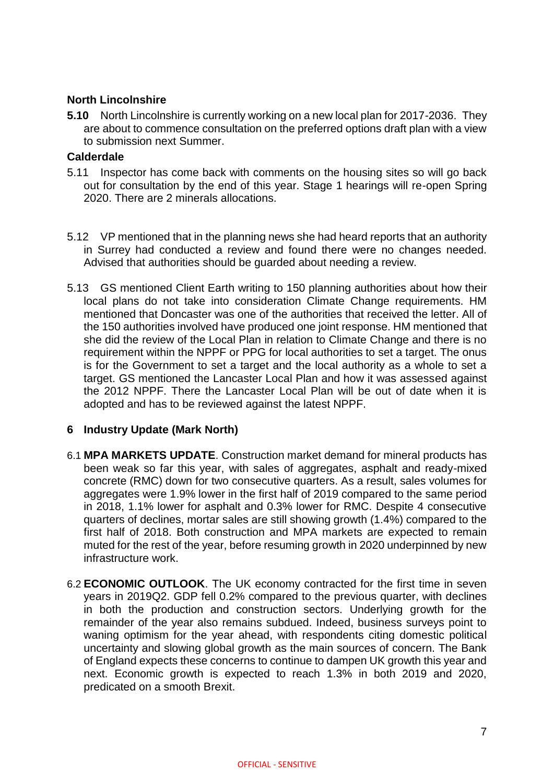# **North Lincolnshire**

**5.10** North Lincolnshire is currently working on a new local plan for 2017-2036. They are about to commence consultation on the preferred options draft plan with a view to submission next Summer.

#### **Calderdale**

- 5.11 Inspector has come back with comments on the housing sites so will go back out for consultation by the end of this year. Stage 1 hearings will re-open Spring 2020. There are 2 minerals allocations.
- 5.12 VP mentioned that in the planning news she had heard reports that an authority in Surrey had conducted a review and found there were no changes needed. Advised that authorities should be guarded about needing a review.
- 5.13 GS mentioned Client Earth writing to 150 planning authorities about how their local plans do not take into consideration Climate Change requirements. HM mentioned that Doncaster was one of the authorities that received the letter. All of the 150 authorities involved have produced one joint response. HM mentioned that she did the review of the Local Plan in relation to Climate Change and there is no requirement within the NPPF or PPG for local authorities to set a target. The onus is for the Government to set a target and the local authority as a whole to set a target. GS mentioned the Lancaster Local Plan and how it was assessed against the 2012 NPPF. There the Lancaster Local Plan will be out of date when it is adopted and has to be reviewed against the latest NPPF.

# **6 Industry Update (Mark North)**

- 6.1 **MPA MARKETS UPDATE**. Construction market demand for mineral products has been weak so far this year, with sales of aggregates, asphalt and ready-mixed concrete (RMC) down for two consecutive quarters. As a result, sales volumes for aggregates were 1.9% lower in the first half of 2019 compared to the same period in 2018, 1.1% lower for asphalt and 0.3% lower for RMC. Despite 4 consecutive quarters of declines, mortar sales are still showing growth (1.4%) compared to the first half of 2018. Both construction and MPA markets are expected to remain muted for the rest of the year, before resuming growth in 2020 underpinned by new infrastructure work.
- 6.2 **ECONOMIC OUTLOOK**. The UK economy contracted for the first time in seven years in 2019Q2. GDP fell 0.2% compared to the previous quarter, with declines in both the production and construction sectors. Underlying growth for the remainder of the year also remains subdued. Indeed, business surveys point to waning optimism for the year ahead, with respondents citing domestic political uncertainty and slowing global growth as the main sources of concern. The Bank of England expects these concerns to continue to dampen UK growth this year and next. Economic growth is expected to reach 1.3% in both 2019 and 2020, predicated on a smooth Brexit.